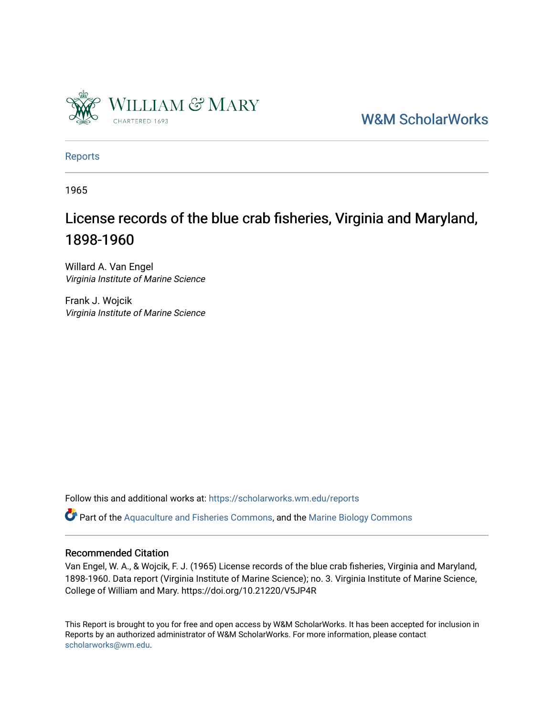

[W&M ScholarWorks](https://scholarworks.wm.edu/) 

[Reports](https://scholarworks.wm.edu/reports)

1965

# License records of the blue crab fisheries, Virginia and Maryland, 1898-1960

Willard A. Van Engel Virginia Institute of Marine Science

Frank J. Wojcik Virginia Institute of Marine Science

Follow this and additional works at: [https://scholarworks.wm.edu/reports](https://scholarworks.wm.edu/reports?utm_source=scholarworks.wm.edu%2Freports%2F71&utm_medium=PDF&utm_campaign=PDFCoverPages)

Part of the [Aquaculture and Fisheries Commons](http://network.bepress.com/hgg/discipline/78?utm_source=scholarworks.wm.edu%2Freports%2F71&utm_medium=PDF&utm_campaign=PDFCoverPages), and the [Marine Biology Commons](http://network.bepress.com/hgg/discipline/1126?utm_source=scholarworks.wm.edu%2Freports%2F71&utm_medium=PDF&utm_campaign=PDFCoverPages) 

#### Recommended Citation

Van Engel, W. A., & Wojcik, F. J. (1965) License records of the blue crab fisheries, Virginia and Maryland, 1898-1960. Data report (Virginia Institute of Marine Science); no. 3. Virginia Institute of Marine Science, College of William and Mary. https://doi.org/10.21220/V5JP4R

This Report is brought to you for free and open access by W&M ScholarWorks. It has been accepted for inclusion in Reports by an authorized administrator of W&M ScholarWorks. For more information, please contact [scholarworks@wm.edu.](mailto:scholarworks@wm.edu)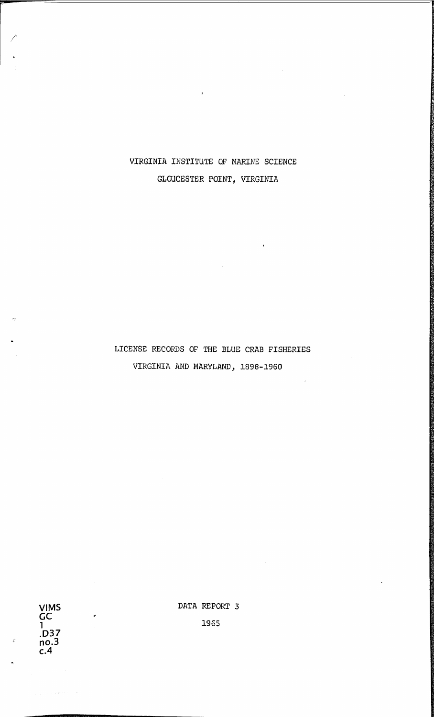VIRGINIA INSTITUTE OF MARINE SCIENCE GLOUCESTER POINT, VIRGINIA

 $\bar{z}$ 

## LICENSE RECORDS OF THE BLUE CRAB FISHERIES VIRGINIA AND MARYLAND, 1898-1960

**VIMS GC 1 .037 no.3 c.4** 

 $\hat{\varphi}$  , and a second  $\hat{\varphi}$  , and

 $\epsilon$ 

DATA REPORT 3

1965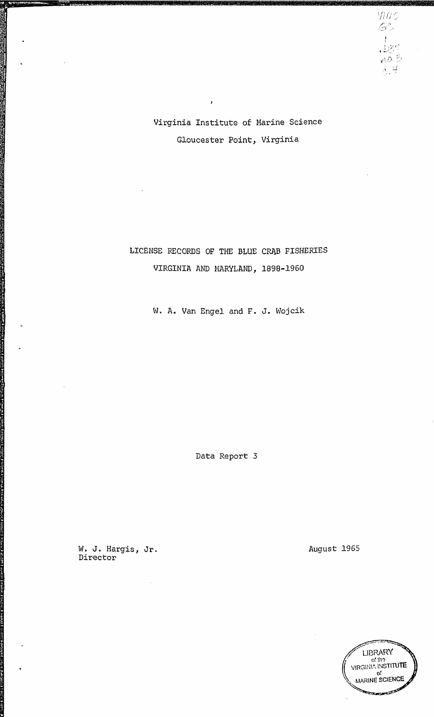Virginia Institute of Marine Science Gloucester Point, Virginia

 $\mathbf{J}$ 

## LICENSE RECORDS OF THE BLUE CRAB FISHERIES VIRGINIA AND MARYLAND, 1898-1960

W. A. Van Engel and F. J. Wojcik

Data Report 3

W. J. Hargis, Jr. Director

August 1965

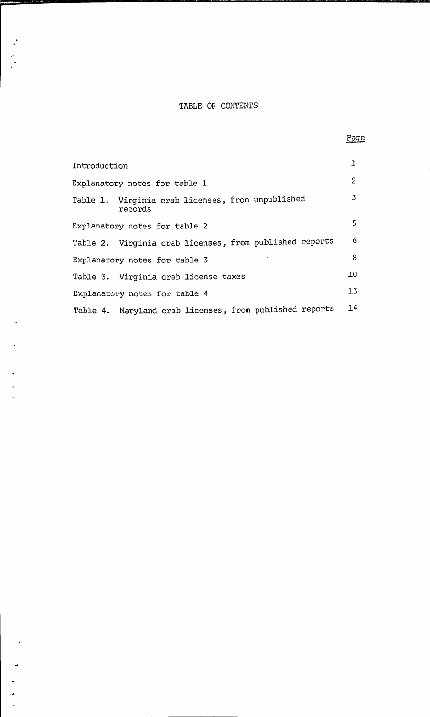## TABLE, OF CONTENTS

| Introduction                                                 | ı              |
|--------------------------------------------------------------|----------------|
| Explanatory notes for table 1                                | $\overline{2}$ |
| Table 1. Virginia crab licenses, from unpublished<br>records | 3              |
| Explanatory notes for table 2                                | 5.             |
| Table 2. Virginia crab licenses, from published reports      | 6              |
| Explanatory notes for table 3                                | 8              |
| Table 3. Virginia crab license taxes                         | 10             |
| Explanatory notes for table 4                                | 13             |
| Table 4. Maryland crab licenses, from published reports      | 14             |

 $\cdot\lambda$ 

J.

Page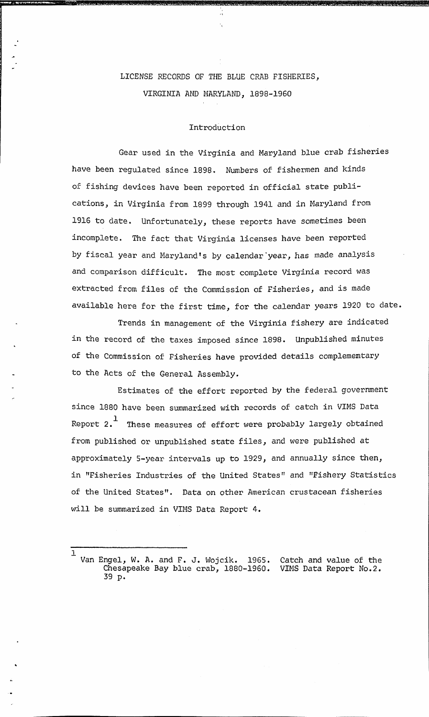## LICENSE RECORDS OF THE BLUE CRAB FISHERIES, VIRGINIA AND MARYLAND, 1898-1960

#### Introduction

Gear used in the Virginia and Maryland blue crab fisheries have been regulated since 1898. Numbers of fishermen and kinds of fishing devices have been reported in official state publications, in Virginia from 1899 through 1941 and in Maryland from 1916 to date. Unfortunately, these reports have sometimes been incomplete. The fact that Virginia licenses have been reported by fiscal year and Maryland's by calendar'year, has made analysis and comparison difficult. The most complete Virginia record was extracted from files of the Commission of Fisheries, and is made available here for the first time, for the calendar years 1920 to date.

Trends in management of the Virginia fishery are indicated in the record of the taxes imposed since 1898. Unpublished minutes of the Commission of Fisheries have provided details complememtary to the Acts of the General Assembly.

Estimates of the effort reported by the federal government since 1880 have been summarized with records of catch in VIMS Data Report  $2.$ <sup>1</sup> These measures of effort were probably largely obtained from published or unpublished state files, and were published at approximately 5-year intervals up to 1929, and annually since then, in "Fisheries Industries of the United States" and "Fishery Statistics of the United States". Data on other American crustacean fisheries will be summarized in VIMS Data Report 4.

1

Van Engel, W. A. and F. J. Wojcik. 1965. Chesapeake Bay blue crab, 1880-1960. 39 p. Catch and value of the VIMS Data Report No.2.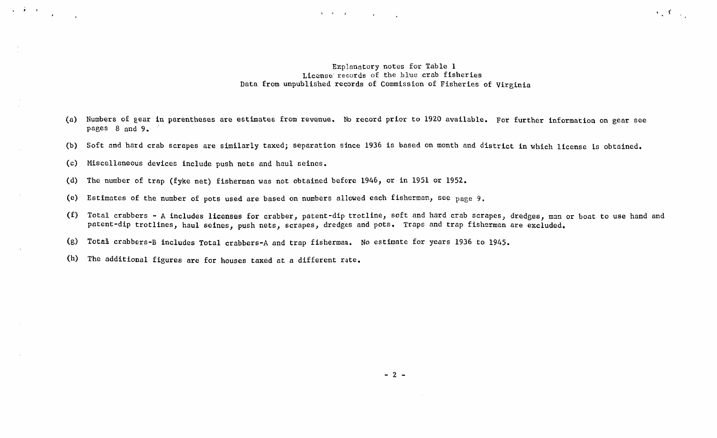#### Explanatory notes for Table 1 License records of the blue crab fisheries Data from unpublished records of Commission of Fisheries of Virginia

 $\mathcal{F}_1$  ,  $\mathcal{F}_2$  ,  $\mathcal{F}_3$ 

(a) Numbers of gear in parentheses are estimates from revenue. No record prior to 1920 available. For further information on gear see pages 8 and 9.

 $\label{eq:3} \mathcal{A}=\mathcal{A}=\{C_{\mathcal{A}}\mid \mathcal{A}=\{A_{\mathcal{A}}\mid \mathcal{A}=\{A_{\mathcal{A}}\} \}$ 

- (b) Soft and hard crab scrapes are similarly taxed; separation since 1936 is based on month and district in which license is obtained.
- (c) Miscellaneous devices include push nets and haul seines.

 $\label{eq:1} \left\langle \hat{S}_{\alpha\beta} \hat{S}_{\beta\beta} \hat{S}_{\beta\beta} \hat{S}_{\beta\beta} \hat{S}_{\beta\beta} \hat{S}_{\beta\beta} \hat{S}_{\beta\beta} \hat{S}_{\beta\beta} \right\rangle$ 

- (d) The number of trap (fyke net) fisherman was not obtained before 1946, or in 1951 or 1952.
- (e) Estimates of the number of pots used are based on numbers allowed each fisherman, see page 9.
- (f) Total crabbers -A includes licenses for crabber, patent-dip trotline, soft and hard crab scrapes, dredges, man or boat to use hand and patent-dip trotlines, haul seines, push nets, scrapes, dredges and pots. Traps and trap fisherman are excluded.
- (g) Total crabbers-B includes Total crabbers-A and trap fisherman. No estimate for years 1936 to 1945.
- (h) The additional figures are for houses taxed at a different rate.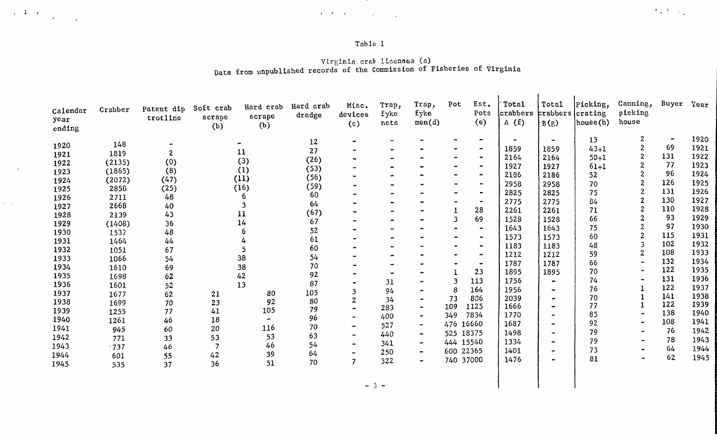## $\label{eq:3.1} \left\langle \mathbf{v} \right\rangle \left\langle \mathbf{f} \right\rangle = C_{\mathrm{max}} \left\langle \mathbf{v} \right\rangle \left\langle \mathbf{v} \right\rangle = \left\langle \mathbf{v} \right\rangle \left\langle \mathbf{v} \right\rangle$

 $\label{eq:2} \mathcal{A}=\frac{1}{2}\mathcal{A}^2\left(\frac{1}{2}\mathcal{A}^2\right)\left(\frac{1}{2}\mathcal{A}^2\right)\left(\frac{1}{2}\mathcal{A}^2\right).$ 

 $\sim$  2  $^{\circ}$ 

 $\sim$ 

## Table 1

#### Virginia.crab licenses (a) Data from unpublished records of the Commission of Fisheries of Virginia

| Calendar<br>year<br>ending | Crabber | Patent dip<br>trotline | Soft crab<br>scrape<br>(b) | Hard crab<br>scrape<br>(b) | Hard crab<br>dredge | Misc.<br>devices<br>(c) | Trap,<br>fyke<br>nets | Trap,<br>fyke<br>men(d) | Pot       | Est.<br>Pots<br>(e)   | Total<br>crabbers<br>A(f) | Total<br>prabbers crating<br>B(g) | Picking,<br>house(h) | Canning,<br>picking<br>house | Buyer          | Year |
|----------------------------|---------|------------------------|----------------------------|----------------------------|---------------------|-------------------------|-----------------------|-------------------------|-----------|-----------------------|---------------------------|-----------------------------------|----------------------|------------------------------|----------------|------|
| 1920                       | 148     |                        |                            |                            | 12                  |                         |                       |                         |           |                       |                           | $\bullet$                         | 13                   | $\boldsymbol{2}$             | $\blacksquare$ | 1920 |
| 1921                       | 1819    | 2                      |                            | 11                         | 27                  |                         |                       |                         |           | $\bullet$             | 1859                      | 1859                              | $43 + 1$             |                              | 69             | 1921 |
| 1922                       | (2135)  | (0)                    |                            | (3)                        | (26)                |                         |                       |                         |           | $\bullet$             | 2164                      | 2164                              | $50 + 1$             | $\overline{2}$               | 131            | 1922 |
| 1923                       | (1865)  | (8)                    |                            | (1)                        | (53)                |                         |                       |                         |           | $\bullet$             | 1927                      | 1927                              | $61 + 1$             |                              | 77             | 1923 |
| 1924                       | (2072)  | (47)                   |                            | (11)                       | (56)                |                         |                       |                         |           | $\blacksquare$        | 2186                      | 2186                              | 52                   |                              | 96             | 1924 |
| 1925                       | 2858    | (25)                   |                            | (16)                       | (59)                |                         |                       |                         |           |                       | 2958                      | 2958                              | 70                   |                              | 126            | 1925 |
| 1926                       | 2711    | 48                     |                            |                            | 60                  |                         |                       |                         |           | $\blacksquare$        | 2825                      | 2825                              | 75                   |                              | 131            | 1926 |
| 1927                       | 2668    | 40                     |                            |                            | 64                  |                         |                       |                         |           |                       | 2775                      | 2775                              | 84                   |                              | 130            | 1927 |
| 1928                       | 2139    | 43                     |                            | 11                         | (67)                |                         |                       |                         |           | 28                    | 2261                      | 2261                              | 71                   | $\overline{2}$               | 110            | 1928 |
| 1929                       | (1408)  | 36                     |                            | 14                         | 67                  |                         |                       |                         |           | 69                    | 1528                      | 1528                              | 66                   |                              | 93             | 1929 |
| 1930                       | 1537    | 48                     |                            |                            | 52                  |                         |                       |                         |           |                       | 1643                      | 1643                              | 75                   |                              | 97             | 1930 |
| 1931                       | 1464    | 44                     |                            |                            | 61                  |                         |                       |                         |           |                       | 1573                      | 1573                              | 60                   | 2                            | 115            | 1931 |
| 1932                       | 1051    | 67                     |                            |                            | 60                  |                         |                       |                         |           | $\blacksquare$        | 1183                      | 1183                              | 48                   | 3                            | 102            | 1932 |
| 1933                       | 1066    | 54                     |                            | 38                         | 54                  |                         |                       |                         |           | $\tilde{\phantom{a}}$ | 1212                      | 1212                              | 59                   | $\overline{2}$               | 108            | 1933 |
| 1934                       |         |                        |                            | 38                         | 70                  |                         |                       |                         |           | $\bullet$             | 1787                      | 1787                              | 66                   |                              | 132            | 1934 |
| 1935                       | 1610    | 69<br>62               |                            | 42                         | 92                  |                         |                       |                         |           | 23                    | 1895                      | 1895                              | 70                   |                              | 122            | 1935 |
| 1936                       | 1698    |                        |                            | 13                         | 87                  |                         | 31                    |                         |           | 113                   | 1756                      |                                   | 74                   |                              | 131            | 1936 |
| 1937                       | 1601    | 52                     |                            | 80                         | 105                 |                         | 94                    |                         |           | 164                   | 1956                      |                                   | 76                   |                              | 122            | 1937 |
| 1938                       | 1677    | 62                     | 21                         | 92                         | 80                  |                         | 34                    |                         | 73        | 836                   | 2039                      |                                   | 70                   |                              | 141            | 1938 |
|                            | 1699    | 70                     | 23                         | 105                        | 79                  |                         | 283                   |                         | 109       | 1125                  | 1666                      |                                   | 77                   |                              | 122            | 1939 |
| 1939<br>1940               | 1255    | 77                     | 41                         |                            | 96                  |                         | 400                   | $\blacksquare$          | 349       | 7834                  | 1770                      |                                   | 85                   |                              | 138            | 1940 |
|                            | 1261    | 46                     | 18                         | 116                        | 70                  |                         | 527                   | $\blacksquare$          | 476       | 16660                 | 1687                      |                                   | 92                   | $\blacksquare$               | 108            | 1941 |
| 1941                       | 945     | 60                     | 20                         |                            | 63                  |                         | 440                   |                         | 525 18375 |                       | 1498                      |                                   | 79                   |                              | 76             | 1942 |
| 1942                       | 771     | 33                     | 53                         | 53                         | 54                  |                         | 341                   | $\blacksquare$          | 444 15540 |                       | 1334                      |                                   | 79                   |                              | 78             | 1943 |
| 1943                       | .737    | 46                     |                            | 46                         | 64                  |                         | 250                   | $\bullet$               | 600 22365 |                       | 1401                      |                                   | 73                   |                              | 64             | 1944 |
| 1944                       | 601     | 55                     | 42                         | 39                         | 70                  |                         | 322                   | $\blacksquare$          | 740 37000 |                       | 1476                      |                                   | 81                   |                              | 62             | 1945 |
| 1945                       | 535     | 37                     | 36                         | 51                         |                     |                         |                       |                         |           |                       |                           |                                   |                      |                              |                |      |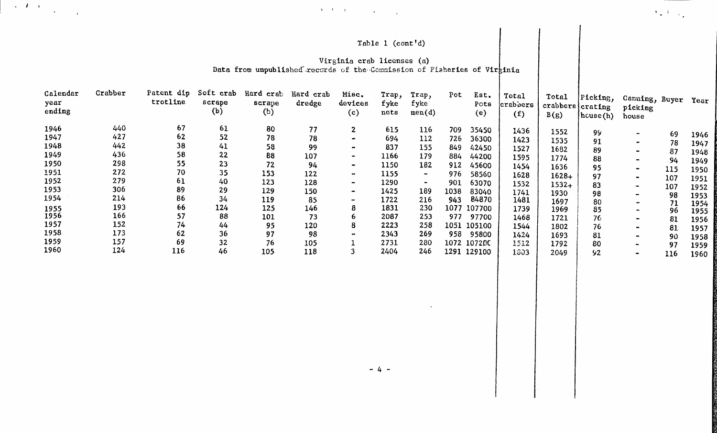## Table 1 (cont'd)

 $\mathcal{F}_\bullet$  ,  $\mathcal{F}_\bullet$  ,  $\mathcal{F}_\bullet$ 

### Virginia crab licenses (a) Data from unpublished records of the Commission of Fiaheries of Virginia

 $\mathcal{F}_1$  is the contract of the contract of the contract of the contract of the contract of the contract of the contract of the contract of the contract of the contract of the contract of the contract of the contract of

| Calendar<br>year<br>ending | Crabber | Patent dip<br>trotline | Soft crab<br>scrape<br>(b) | Hard crab<br>scrape<br>(b) | Hard crab<br>dredge | Misc.<br>devices<br>(c)  | Trap,<br>fyke<br>nets | Trap,<br>fyke<br>men(d) | Pot  | Est.<br>Pots<br>(e) | Total<br>crabbers<br>(f) | Total<br>crabbers crating<br>B(g) | [Picking,<br>$h \text{cuse}(h)$ | Canning, Buyer<br>picking<br>house |     | Year |
|----------------------------|---------|------------------------|----------------------------|----------------------------|---------------------|--------------------------|-----------------------|-------------------------|------|---------------------|--------------------------|-----------------------------------|---------------------------------|------------------------------------|-----|------|
| 1946                       | 440     | 67                     | 61                         | 80                         | 77                  | $\mathbf{2}$             | 615                   | 116                     | 709  | 35450               | 1436                     | 1552                              | 99                              |                                    |     |      |
| 1947                       | 427     | 62                     | 52                         | 78                         | 78                  | $\bullet$                | 694                   | 112                     | 726  | 36300               | 1423                     | 1535                              | 91                              |                                    | 69  | 1946 |
| 1948                       | 442     | 38                     | 41                         | 58                         | 99                  |                          | 837                   | 155                     | 849  | 42450               | 1527                     | 1682                              |                                 |                                    | 78  | 1947 |
| 1949                       | 436     | 58                     | 22                         | 88                         | 107                 |                          | 1166                  | 179                     | 884  | 44200               | 1595                     |                                   | 89                              |                                    | 87  | 1948 |
| 1950                       | 298     | 55                     | 23                         | 72                         | 94                  | $\bullet$                | 1150                  | 182                     | 912  | 45600               |                          | 1774                              | 88                              |                                    | 94  | 1949 |
| 1951                       | 272     | 70                     | 35                         | 153                        | 122                 | $\blacksquare$           | 1155                  | $\sim$                  | 976  | 58560               | 1454                     | 1636                              | 95                              | $\bullet$                          | 115 | 1950 |
| 1952                       | 279     | 61                     | 40                         | 123                        |                     |                          |                       | $\bullet$               |      |                     | 1628                     | $1628+$                           | 97                              | $\blacksquare$                     | 107 | 1951 |
| 1953                       | 306     | 89                     | 29                         |                            | 128                 | $\bullet$                | 1290                  |                         | 901  | 63070               | 1532                     | $1532+$                           | 83                              | $\sim$                             | 107 | 1952 |
| 1954                       | 214     | 86                     |                            | 129                        | 150                 | $\sim$                   | 1425                  | 189                     | 1038 | 83040               | 1741                     | 1930                              | 98                              |                                    | 98  | 1953 |
|                            |         |                        | 34                         | 119                        | 85                  | $\overline{\phantom{a}}$ | 1722                  | 216                     | 943  | 84870               | 1481                     | 1697                              | 80                              |                                    | 71  | 1954 |
| 1955                       | 193     | 66                     | 124                        | 125                        | 146                 | 8                        | 1831                  | 230                     | 1077 | 107700              | 1739                     | 1969                              | 85                              |                                    | 96  | 1955 |
| 1956                       | 166     | 57                     | 88                         | 101                        | 73                  | 6                        | 2087                  | 253                     | 977  | 97700               | 1468                     | 1721                              | 76                              |                                    | 81  | 1956 |
| 1957                       | 152     | 74                     | 44                         | 95                         | 120                 | 8                        | 2223                  | 258                     | 1051 | 105100              | 1544                     | 1802                              | 76                              |                                    | 81  | 1957 |
| 1958                       | 173     | 62                     | 36                         | 97                         | 98                  | $\blacksquare$           | 2343                  | 269                     | 958  | 95800               | 1424                     | 1693                              | 81                              |                                    | 90  | 1958 |
| 1959                       | 157     | 69                     | 32                         | 76                         | 105                 |                          | 2731                  | 280                     |      | 1072 107200         | 1512                     | 1792                              | 80                              |                                    | 97  | 1959 |
| 1960                       | 124     | 116                    | 46                         | 105                        | 118                 |                          | 2404                  | 246                     |      | 1291 129100         | 1303                     | 2049                              | 92                              |                                    | 116 | 1960 |

 $- 4 -$ 

 $\ddot{\phantom{a}}$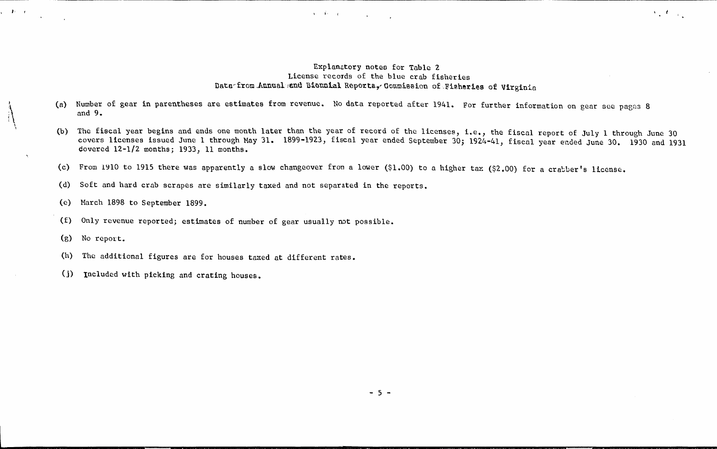#### Explanatory noteo for Table 2 License records of the blue crab fisheries Data-from .Annualend Biennial Reports, Commission of Fisheries of Virginia

 $\lambda_{\rm eff} (t_{\rm c})_{\rm eq}$ 

(a) Number of gear in parentheses are estimates from revenue. No data reported after 1941. For further information on gear see pages 8 and 9.

 $\mathcal{A} = \widetilde{\Phi} \circ \mathcal{A} = \left\{ \begin{array}{ccc} 0 & \cdots & 0 \\ 0 & \cdots & 0 \\ 0 & \cdots & 0 \end{array} \right\},$ 

- (b) The fiscal year begins and ends one month later than the year of record of the licenses, i.e., the fiscal report of July 1 through June 30 covers licenses issued June 1 through May 31. 1899~1923, fiscal year ended September 30; 1924-41, fiscal year ended June 30. 1930 and 1931 covered 12-l/2 months; 1933, 11 months.
- (c) From 1910 to 1915 there was apparently a slow changeover from a lower (\$1.00) to a higher tax (\$2.00) for a crabber's license.
- (d) Soft and hard crab scrapes are similarly taxed and not separated in the reports.
- (e) March 1898 to September 1899.
- (f) Only revenue reported; estimates of number of gear usually not possible.
- (g) No report.

 $\bigg\}$ \ ,

 $\sqrt{1 - \frac{1}{2}}$ 

- (h) The additional figures are for houses taxed at different rates.
- (j) Included with picking and crating houses.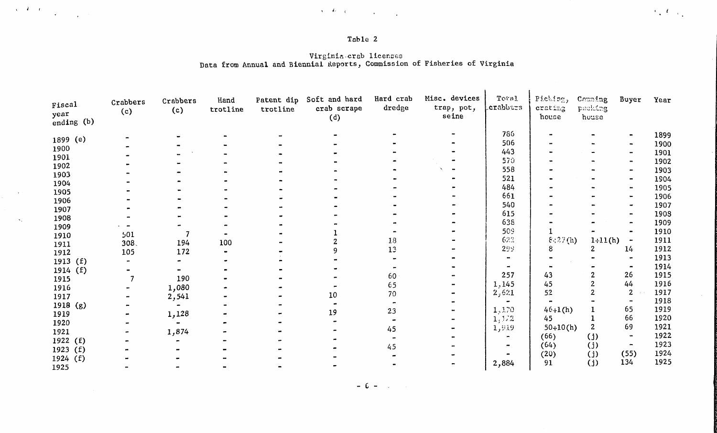### Table 2

*(\_* (

 $\mathcal{F}_{\infty}(t)$  ,  $\mathcal{F}_{\infty}$ 

 $\sim 10^{-1}$ 

 $\label{eq:2} \left\langle \chi_{\alpha}(\vec{k})\right\rangle_{\alpha}=\frac{1}{\sqrt{2\pi\epsilon_{\alpha}^{2}(\vec{k})}}\,,$ 

 $\langle \cdot, \cdot \rangle$ 

#### Virginia crab licenses Data from Annual and Biennial Keports, Commission of Fisheries of Virginia

| Fiscal             | Crabbers | Crabbers       | Hand     | Patent dip | Soft and hard      | Hard crab | Misc. devices       | Total    | Picking,         | Capping          | Buyer        | Year |
|--------------------|----------|----------------|----------|------------|--------------------|-----------|---------------------|----------|------------------|------------------|--------------|------|
| year<br>ending (b) | (c)      | (c)            | trotline | trotline   | crab scrape<br>(d) | dredge    | trap, pot,<br>seine | crabbars | crating<br>house | packing<br>house |              |      |
|                    |          |                |          |            |                    |           |                     | 786      |                  |                  |              | 1899 |
| 1899 (e)           |          |                |          |            |                    |           |                     | 506      |                  |                  |              | 1900 |
| 1900               |          |                |          |            |                    |           |                     | 443      |                  |                  |              | 1901 |
| 1901               |          |                |          |            |                    |           |                     | 570      |                  |                  |              | 1902 |
| 1902               |          |                |          |            |                    |           |                     | 558      |                  |                  |              | 1903 |
| 1903               |          |                |          |            |                    |           |                     | 521      |                  |                  |              | 1904 |
| 1904               |          |                |          |            |                    |           |                     | 484      |                  |                  |              | 1905 |
| 1905               |          |                |          |            |                    |           |                     | 661      |                  |                  |              | 1906 |
| 1906               |          |                |          |            |                    |           |                     | 540      |                  |                  |              | 1907 |
| 1907               |          |                |          |            |                    |           |                     | 615      |                  |                  |              | 1908 |
| 1908               |          |                |          |            |                    |           |                     | 638      |                  |                  |              | 1909 |
| 1909               |          |                |          |            |                    |           |                     | 509      |                  |                  |              | 1910 |
| 1910               | 501      |                |          |            |                    | 18        |                     | 622      | 8:27(h)          | $1+11(h)$        |              | 1911 |
| 1911               | 308.     | 194            | 100      |            |                    | 13        |                     | 299      |                  | 2                | 14           | 1912 |
| 1912               | 105      | 172            |          |            |                    |           |                     |          |                  |                  |              | 1913 |
| 1913(f)            |          |                |          |            |                    |           |                     |          |                  |                  |              | 1914 |
| 1914 $(f)$         |          |                |          |            |                    | 60        |                     | 257      | 43               |                  | 26           | 1915 |
| 1915               |          | 190            |          |            |                    |           |                     | 1,145    | 45               |                  | 44           | 1916 |
| 1916               |          | 1,080          |          |            |                    | 65        |                     | 2,621    | 52               |                  | $\mathbf{2}$ | 1917 |
| 1917               |          | 2,541          |          |            | 10                 | 70        |                     |          |                  |                  |              | 1918 |
| 1918(8)            |          | $\bullet$      |          |            |                    |           |                     |          | $46 + 1(h)$      |                  | 65           | 1919 |
| 1919               |          | 1,128          |          |            | 19                 | 23        |                     | 1,170    |                  |                  | 66           | 1920 |
| 1920               |          | $\blacksquare$ |          |            |                    |           |                     | 1,122    | 45               | $\overline{2}$   | 69           | 1921 |
| 1921               |          | 1,874          |          |            |                    | 45        |                     | 1,919    | $50+10(h)$       |                  |              |      |
| 1922 $(f)$         |          |                |          |            |                    |           |                     |          | (66)             | (i)              |              | 1922 |
| 1923 $(f)$         |          |                |          |            |                    | 4.5       |                     |          | (64)             | (j)              | $\bullet$    | 1923 |
| 1924 (f)           |          |                |          |            |                    |           |                     |          | (20)             | (i)              | (55)         | 1924 |
| 1925               |          |                |          |            |                    |           |                     | 2,884    | 91               | (i)              | 134          | 1925 |

 $-$  (. - )  $-$  )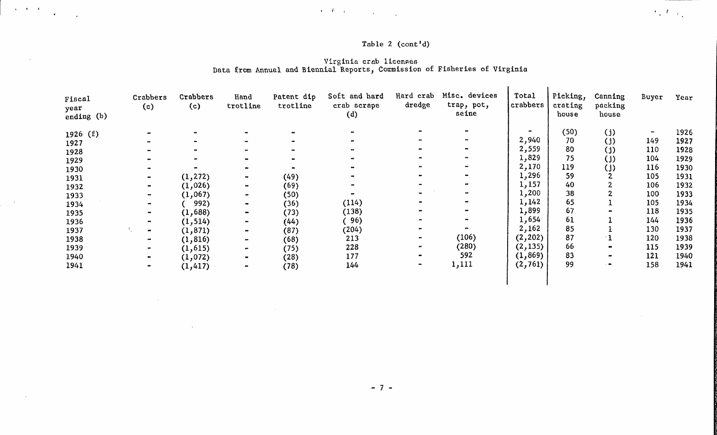## Table 2 (cont'd)

#### Virginia crab licenses Data from Annual and Biennial Reports, Commission of Fisheries of Virginia

 $\mathcal{L} = \mathcal{L} \mathcal{L} = \mathcal{L} \mathcal{L}$  . The contract of the contract of the contract of the contract of the contract of the contract of the contract of the contract of the contract of the contract of the contract of the cont

 $\label{eq:2.1} \frac{1}{2} \int_{\mathbb{R}^3} \frac{1}{\sqrt{2}} \left( \frac{1}{\sqrt{2}} \int_{\mathbb{R}^3} \frac{1}{\sqrt{2}} \left( \frac{1}{\sqrt{2}} \int_{\mathbb{R}^3} \frac{1}{\sqrt{2}} \int_{\mathbb{R}^3} \frac{1}{\sqrt{2}} \int_{\mathbb{R}^3} \frac{1}{\sqrt{2}} \int_{\mathbb{R}^3} \frac{1}{\sqrt{2}} \int_{\mathbb{R}^3} \frac{1}{\sqrt{2}} \int_{\mathbb{R}^3} \frac{1}{\sqrt{2}} \int$ 

 $\sim$ 

 $\label{eq:2.1} \frac{1}{\sqrt{2}}\int_{\mathbb{R}^3}\frac{1}{\sqrt{2}}\left(\frac{1}{\sqrt{2}}\right)^2\left(\frac{1}{\sqrt{2}}\right)^2\left(\frac{1}{\sqrt{2}}\right)^2\left(\frac{1}{\sqrt{2}}\right)^2\left(\frac{1}{\sqrt{2}}\right)^2\left(\frac{1}{\sqrt{2}}\right)^2.$ 

 $\sim 10^{11}$  km  $^{-1}$ 

 $\frac{1}{2} \frac{1}{2} \frac{1}{2} \frac{1}{2} \frac{1}{2} \frac{1}{2} \frac{1}{2} \frac{1}{2} \frac{1}{2} \frac{1}{2} \frac{1}{2} \frac{1}{2} \frac{1}{2} \frac{1}{2} \frac{1}{2} \frac{1}{2} \frac{1}{2} \frac{1}{2} \frac{1}{2} \frac{1}{2} \frac{1}{2} \frac{1}{2} \frac{1}{2} \frac{1}{2} \frac{1}{2} \frac{1}{2} \frac{1}{2} \frac{1}{2} \frac{1}{2} \frac{1}{2} \frac{1}{2} \frac{$ 

 $\alpha$ 

| Fiscal<br>year<br>ending (b)                                            | Crabbers<br>(c) | Crabbers<br>(c)                                                               | Hand<br>trotline                                                             | Patent dip<br>trotline                               | Soft and hard<br>crab scrape<br>(d)               | Hard crab<br>dredge | Misc. devices<br>trap, pot,<br>seine | Total<br>crabbers                                                                                | Picking,<br>crating<br>house                          | Canning<br>packing<br>house         | Buyer                                                | Year                                                                 |
|-------------------------------------------------------------------------|-----------------|-------------------------------------------------------------------------------|------------------------------------------------------------------------------|------------------------------------------------------|---------------------------------------------------|---------------------|--------------------------------------|--------------------------------------------------------------------------------------------------|-------------------------------------------------------|-------------------------------------|------------------------------------------------------|----------------------------------------------------------------------|
| 1926(f)<br>1927<br>1928<br>1929<br>1930<br>1931<br>1932<br>1933<br>1934 |                 | (1, 272)<br>(1,026)<br>(1,067)<br>992)                                        | $\bullet$<br>$\blacksquare$                                                  | (49)<br>(69)<br>(50)<br>(36)                         | (114)                                             |                     |                                      | $\overline{\phantom{a}}$<br>2,940<br>2,559<br>1,829<br>2,170<br>1,296<br>1,157<br>1,200<br>1,142 | (50)<br>70<br>80<br>75<br>119<br>59<br>40<br>38<br>65 | (i)<br>(i)<br>(i)<br>(i)<br>(i)     | 149<br>110<br>104<br>116<br>105<br>106<br>100<br>105 | 1926<br>1927<br>1928<br>1929<br>1930<br>1931<br>1932<br>1933<br>1934 |
| 1935<br>1936<br>1937<br>1938<br>1939<br>1940<br>1941                    | $\bullet$       | (1,688)<br>(1, 514)<br>(1, 871)<br>(1, 816)<br>(1,615)<br>(1,072)<br>(1, 417) | $\blacksquare$<br>$\bullet$<br>$\blacksquare$<br>$\bullet$<br>$\blacksquare$ | (73)<br>(44)<br>(87)<br>(68)<br>(75)<br>(28)<br>(78) | (138)<br>96)<br>(204)<br>213<br>228<br>177<br>144 |                     | (106)<br>(280)<br>592<br>1,111       | 1,899<br>1,654<br>2,162<br>(2, 202)<br>(2, 135)<br>(1, 869)<br>(2, 761)                          | 67<br>61<br>85<br>87<br>66<br>83<br>99                | $\bullet$<br>$\bullet$<br>$\bullet$ | 118<br>144<br>130<br>120<br>115<br>121<br>158        | 1935<br>1936<br>1937<br>1938<br>1939<br>1940<br>1941                 |

 $\epsilon_{\rm x}(t)_{\rm c0}$ 

 $\sim 10^7$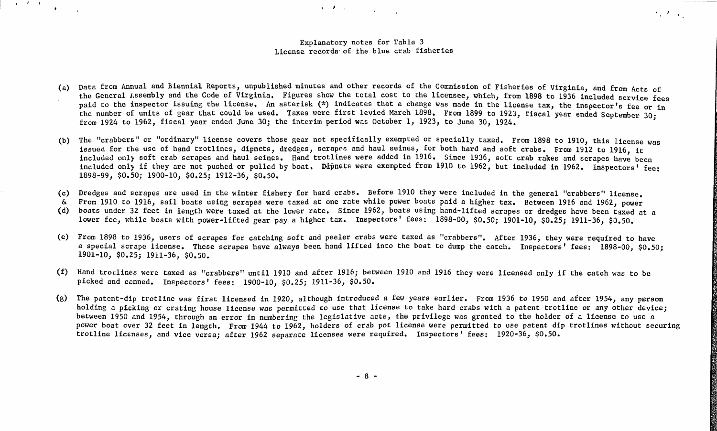#### Explanatory notes for Table 3 License recorda· of the blue crab fisheries

.•.

 $\mathcal{F}_{\mathcal{L}}(T)$  ,  $\mathcal{L}(\mathcal{L})$ 

in the first state of the state of the

- (a) Data from Annual and Biennial Reports, unpublished minutes and other records of the Commission of Fisheries of Virginia, and from Acts of the General Assembly and the Code of Virginia. Figures show the total cost to the licensee, which, from 1898 to 1936 included service fees paid to the inspector issuing the license. An asterisk (\*) indicates that a change was made in the license tax, the inspector's fee or in the number of units of gear that could be used. Taxes were first levied March 1898. From 1899 to 1923, fiscal year ended September 30; from 1924 to 1962, fiscal year ended June 30; the interim period was October 1, 1923, to June 30, 1924.
- (b) The "crabbers'' or "ordinary" license covers those gear not specifically exempted or specially taxed. From 1898 to 1910, this license was issued for the use of hand trotlines, dipnets, dredges, scrapes and haul seines, for both hard and soft crabs. From 1912 to 1916, it included only soft crab scrapes and haul seines. Hand trotlines were added in 1916. Since 1936, soft crab rakes and scrapes have been included only if they are not pushed or pulled by boat. Dipnets were exempted from 1910 to 1962, but included in 1962. Inspectors' fee: 1898-99, \$0.50; 1900-10, \$0.25; 1912-36, \$0.50.
- (c) Dredges and scrapes are used in the winter fishery for hard crabs. Before 1910 they were included in the general "crabbers" license.
- & From 1910 to 1916, sail boats using scrapes were taxed at one rate while power boats paid a higher tax. Between 1916 and 1962, power
- (d) boats under 32 feet in length were taxed at the lower rate. Since 1962, boats using hand-lifted scrapes or dredges have been taxed at a lower fee, while boats with power-lifted gear pay a higher tax. Inspectors' fees: 1898-00, \$0.50; 1901-10, *\$0.25;* 1911-36, \$0.50.
- (e) From 1898 to 1936, users of scrapes for catching soft and peeler crabs were taxed as "crabbers". After 1936, they were required to have a special scrape license. These scrapes have always been hand lifted into the boat to dump the catch. Inspectors' fees: 1898-00, \$0.50; 1901-10, *\$0.25;* 1911-36, \$0.50.
- (f) Hand troLlines were taxed as "crabbers" until 1910 and after 1916; between 1910 and 1916 they were licensed only if the catch was to be picked and canned. Inspectors' fees: 1900-10, \$0.25; 1911-36, \$0.50.
- (g) The patent-dip trotline was first licensed in 1920, although introduced a few years earlier. From 1936 to 1950 and after 1954, any person holding a picking or crating house license was permitted to use that license to take hard crabs with a patent trotline or any other device; between 1950 and 1954, through an error in numbering the legislative acts, the privilege was granted to the holder of a license to use a power boat over 32 feet in length. From 1944 to 1962, holders of crab pot license were permitted to use patent dip trotlines without securing trotline licenses, and vice versa; after 1962 separate licenses were required. Inspectors' fees: 1920-36, \$0.50.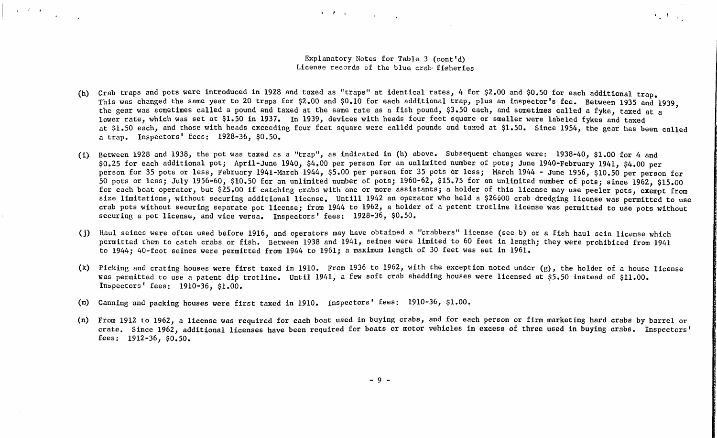#### Explanatory Notes for Table 3 (cont'd) License records of the blue crab fisheries

 $\mathcal{A} = \mathcal{F} \cup \mathcal{C} \cup \{ \mathcal{C} \cup \{ \mathcal{C} \} \} \cup \{ \mathcal{C} \cup \{ \mathcal{C} \} \}$ 

**Construction** 

 $\mathcal{F}_\infty(\mathcal{F})_{\mathcal{F}_\infty(\mathcal{F})}$ 

- (h) Crab traps and pots were introduced in 1928 and taxed as "traps" at identical rates, 4 for \$2.00 and \$0.50 for each additional trap. This was changed the same year to 20 traps for \$2.00 and \$0.10 for each additional trap, plus an inspector's fee. Between 1935 and 1939. the gear was sometimes called a pound and taxed at the same rate as a fish pound, \$3.50 each, and sometimes called a fyke, taxed at a lower rate, which was set at \$1.50 in 1937. In 1939, devices with heads four feet square or smaller were labeled fykes and taxed at \$1.50 each, and those with heads exceeding four feet square were called pounds and taxed at \$1.50. Since 1954, the gear has been called a trap. Inspectors' fees: 1928-36, \$0.50.
- (i) Between 1928 and 1938, the pot was taxed as a "trap", as indicated in (h) above. Subsequent changes were: 1938-40, \$1.00 for 4 and \$0.25 for each additional pot; April-June 1940, \$4.00 per person for an unlimited number of pots; June 1940-February 1941, \$4.00 per person for 35 pots or less, February 1941-March 1944, \$5.00 per person for 35 pots or less; March 1944 - June 1956, \$10.50 per person for 50 pots or less; July 1956-60, \$10.50 for an unlimited number of pots; 1960-62, \$15.75 for an unlimited number of pots; since 1962, \$15.00 for each boat operator, but \$25.00 if catching crabs with one or more assistants; a holder of this license may use peeler pots, exempt from size limitations, without securing additional license. Untill 1942 an operator who held a \$26600 crab dredging license was permitted to use crab pots without securing separate pot license; from 1944 to 1962, a holder of a petent trotline license was permitted to use pots without securing a pot license, and vice versa. Inspectors' fees: 1928-36, \$0.50.
- (j) Haul seines were often used before 1916, and operators may have obtained a "crabbers" license (see b) or a fish haul sein license which permitted them to catch crabs or fish. Between 1938 and 1941, seines were limited to 60 feet in length; they were prohibited from 1941 to 1944; 40-foot seines were permitted from 1944 to 1961; a maximum length of 30 feet was set in 1961.
- (k) Picking and crating houses were first taxed in 1910. From 1936 to 1962, with the exception noted under (g), the holder of a house license was permitted to use a patent dip trotline. Until 1941, a few soft crab shedding houses were licensed at \$5.50 instead of \$11.00. In~pectors' fees: 1910-36, \$1.00.
- (m) Canning and packing houses were first taxed in 1910. Inspectors' fees: 1910-36, \$1.00.

 $\sqrt{1-\frac{1}{2}}$  . The  $\sqrt{1-\frac{1}{2}}$ 

 $\mathbf{r}$ 

(n) From 1912 to 1962, a license was required for each boat used in buying crabs, and for each person or firm marketing hard crabs by barrel or crate. Since 1962, additional licenses have been required for boats or motor vehicles in excess of three used in buying crabs. Inspectors' fees: 1912-36, \$0.50.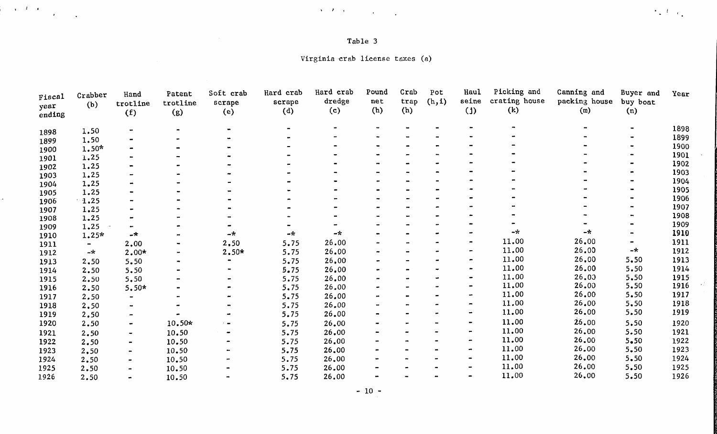| Table |  |  |
|-------|--|--|
|-------|--|--|

 $\mathcal{L}^{\mathcal{L}}(\mathcal{L}^{\mathcal{L}}(\mathcal{L}^{\mathcal{L}}))$  is the set of the set of the set of the set of the set of the set of the set of the set of the set of the set of the set of the set of the set of the set of the set of the set of

ò.

 $\sim 10^{-1}$ 

Virginia -crab license taxes (a)

| Fiscal<br>year<br>ending | Crabber<br>(b) | Hand<br>trotline<br>(f) | Patent<br>trotline<br>(g) | Soft crab<br>scrape<br>(e) | Hard crab<br>scrape<br>(d) | Hard crab<br>dredge<br>(c) | Pound<br>net<br>(h) | Crab<br>trap<br>(h) | Pot<br>(h, i) | Haul<br>seine<br>$(1)$ | Picking and<br>crating house<br>(k) | Canning and<br>packing house<br>(m) | Buyer and<br>buy boat<br>(n) | Year |
|--------------------------|----------------|-------------------------|---------------------------|----------------------------|----------------------------|----------------------------|---------------------|---------------------|---------------|------------------------|-------------------------------------|-------------------------------------|------------------------------|------|
| 1898                     | 1.50           |                         |                           |                            |                            |                            |                     |                     |               |                        |                                     |                                     |                              | 1898 |
| 1899                     | 1.50           |                         |                           |                            |                            |                            |                     |                     |               |                        |                                     |                                     |                              | 1899 |
| 1900                     | $1.50*$        |                         |                           |                            |                            |                            |                     |                     |               |                        |                                     |                                     |                              | 1900 |
| 1901                     | 1.25           |                         |                           |                            |                            |                            |                     |                     |               |                        |                                     |                                     |                              | 1901 |
| 1902                     | 1.25           |                         |                           |                            |                            |                            |                     |                     |               |                        |                                     |                                     |                              | 1902 |
| 1903                     | 1.25           |                         |                           |                            |                            |                            |                     |                     |               |                        |                                     |                                     |                              | 1903 |
| 1904                     | 1.25           |                         |                           |                            |                            |                            |                     |                     |               |                        |                                     |                                     |                              | 1904 |
| 1905                     | 1.25           |                         |                           |                            |                            |                            |                     |                     |               |                        |                                     |                                     |                              | 1905 |
| 1906                     | $-1.25$        |                         |                           |                            |                            |                            |                     |                     |               |                        |                                     |                                     |                              | 1906 |
| 1907                     | 1.25           |                         |                           |                            |                            |                            |                     |                     |               |                        |                                     |                                     |                              | 1907 |
| 1908                     | 1.25           |                         |                           |                            |                            |                            |                     |                     |               |                        |                                     |                                     |                              | 1908 |
| 1909                     | 1.25           |                         |                           |                            |                            |                            |                     |                     |               |                        |                                     |                                     |                              | 1909 |
| 1910                     | $1.25*$        | $-\star$                |                           | -*                         | 一六                         | –*                         |                     |                     |               |                        | -*                                  | $-x$                                |                              | 1910 |
| 1911                     |                | 2,00                    |                           | 2,50                       | 5.75                       | 26.00                      |                     |                     |               |                        | 11.00                               | 26.00                               |                              | 1911 |
| 1912                     | $-\star$       | $2.00*$                 |                           | $2.50*$                    | 5.75                       | 26.00                      |                     |                     |               |                        | 11.00                               | 26.00                               | $-+$                         | 1912 |
| 1913                     | 2.50           | 5.50                    |                           |                            | 5.75                       | 26.00                      |                     |                     |               |                        | 11.00                               | 26,00                               | 5,50                         | 1913 |
| 1914                     | 2.50           | 5.50                    |                           |                            | 5.75                       | 26.00                      |                     |                     |               |                        | 11.00                               | 26.00                               | 5.50                         | 1914 |
| 1915                     | 2.50           | 5.50                    |                           |                            | 5.75                       | 26.00                      |                     |                     |               |                        | 11.00                               | 26.00                               | 5.50                         | 1915 |
| 1916                     | 2.50           | $5.50*$                 |                           |                            | 5.75                       | 26.00                      |                     |                     |               |                        | 11.00                               | 26.00                               | 5.50                         | 1916 |
| 1917                     | 2,50           |                         |                           |                            | 5.75                       | 26.00                      |                     |                     |               |                        | 11.00                               | 26.00                               | 5.50                         | 1917 |
| 1918                     | 2,50           |                         |                           |                            | 5.75                       | 26.00                      |                     |                     |               |                        | 11.00                               | 26.00                               | 5,50                         | 1918 |
| 1919                     | 2,50           |                         |                           |                            | 5.75                       | 26.00                      |                     |                     |               |                        | 11.00                               | 26.00                               | 5.50                         | 1919 |
| 1920                     | 2.50           |                         | 10.50*                    |                            | 5.75                       | 26.00                      |                     |                     |               |                        | 11.00                               | 26.00                               | 5.50                         | 1920 |
| 1921                     | 2.50           |                         | 10.50                     |                            | 5.75                       | 26.00                      |                     |                     |               |                        | 11.00                               | 26.00                               | $5 - 50$                     | 1921 |
| 1922                     | 2.50           |                         | 10.50                     |                            | 5.75                       | 26.00                      |                     |                     |               |                        | 11.00                               | 26.00                               | $5 - 50$                     | 1922 |
| 1923                     | 2,50           |                         | 10.50                     |                            | 5.75                       | 26.00                      |                     |                     |               | $\rightarrow$          | 11.00                               | 26.00                               | $5 - 50$                     | 1923 |
| 1924                     | 2.50           |                         | 10.50                     |                            | 5.75                       | 26.00                      |                     |                     |               | $\rightarrow$          | 11.00                               | 26.00                               | 5.50                         | 1924 |
| 1925                     | 2.50           |                         | 10.50                     |                            | 5.75                       | 26.00                      |                     |                     |               |                        | 11.00                               | 26.00                               | 5.50                         | 1925 |
| 1926                     | 2.50           |                         | 10.50                     |                            | 5.75                       | 26.00                      |                     |                     |               |                        | 11.00                               | 26.00                               | 5.50                         | 1926 |

 $- 10 -$ 

 $\langle \hat{\gamma}_{\star} \rangle U_{\perp} \hat{e}_{\star}$ 

 $\bar{\mathbf{r}}$ 

 $\mathcal{A}^{(1)}$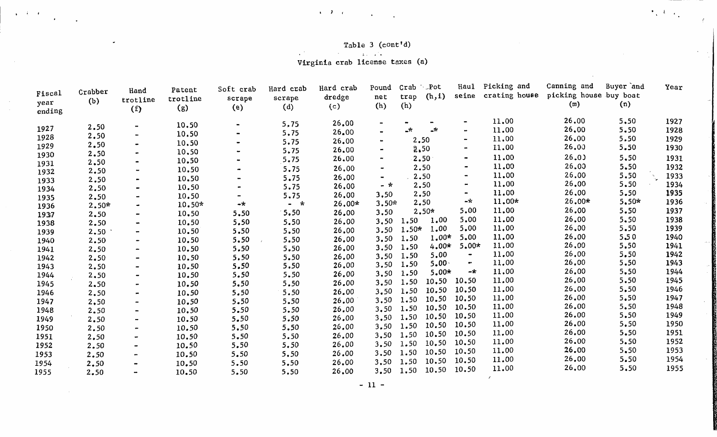#### Table 3 (cont'd)

 $\left\langle \mathbf{e}_{\mathbf{v}}^{\dagger}(\mathbf{t})\right\rangle _{0}$ 

 $\sim$ 

.<br>Virginia crab license taxes (a)

 $\bullet$  if  $\bullet$  is a set of the set of the set of the set of the set of the set of the set of the set of the set of the set of the set of the set of the set of the set of the set of the set of the set of the set of the set o

 $\ddot{\phantom{a}}$ 

 $\sim 10^{-1}$ 

 $\sim$ 

 $\omega$ 

| Fiscal<br>year<br>ending | Crabber<br>(b) | Hand<br>trotline<br>(f) | Patent<br>trotline<br>(g) | Soft crab<br>scrape<br>(e)   | Hard crab<br>scrape<br>(d) | Hard crab<br>dredge<br>(c) | Pound<br>net<br>(h)      | Crab<br>trap<br>(h) | $\sim$ Pot<br>(h, i) | Haul<br>seine  | Picking and<br>crating house | Canning and<br>picking house buy boat<br>(m) | Buyer and<br>(n) | Year |
|--------------------------|----------------|-------------------------|---------------------------|------------------------------|----------------------------|----------------------------|--------------------------|---------------------|----------------------|----------------|------------------------------|----------------------------------------------|------------------|------|
|                          |                |                         | 10.50                     | $\blacksquare$               | 5,75                       | 26.00                      |                          |                     |                      |                | 11.00                        | 26.00                                        | 5,50             | 1927 |
| 1927                     | 2.50           |                         | 10.50                     | $\blacksquare$               | 5.75                       | 26.00                      | $\overline{\phantom{a}}$ | -*                  | $\rightarrow$        |                | 11.00                        | 26,00                                        | 5.50             | 1928 |
| 1928                     | 2.50           |                         | 10.50                     | $\blacksquare$               | 5.75                       | 26.00                      |                          |                     | 2.50                 | $\bullet$      | 11.00                        | 26.00                                        | 5.50             | 1929 |
| 1929                     | 2.50           |                         | 10.50                     |                              | 5.75                       | 26.00                      |                          |                     | 2,50                 |                | 11.00                        | 26.00                                        | 5.50             | 1930 |
| 1930                     | 2.50           |                         | 10.50                     |                              | 5.75                       | 26.00                      |                          |                     | 2.50                 |                | 11.00                        | 26.0                                         | 5.50             | 1931 |
| 1931                     | 2.50           |                         | 10.50                     |                              | 5.75                       | 26,00                      |                          |                     | 2.50                 | $\bullet$      | 11.00                        | 26.00                                        | 5.50             | 1932 |
| 1932                     | 2,50<br>2.50   |                         | 10.50                     | $\qquad \qquad \blacksquare$ | 5.75                       | 26.00                      | ۰.                       |                     | 2.50                 |                | 11.00                        | 26,00                                        | 5.50             | 1933 |
| 1933                     | 2.50           |                         | 10.50                     | $\bullet$                    | 5.75                       | 26.00                      | - *                      |                     | 2,50                 |                | 11.00                        | 26.00                                        | 5.50             | 1934 |
| 1934                     | 2.50           |                         | 10.50                     |                              | 5.75                       | 26,00                      | 3,50                     |                     | 2.50                 |                | 11.00                        | 26,00                                        | 5.50             | 1935 |
| 1935<br>1936             | $2,50*$        |                         | 10.50*                    | $-\star$                     | $-$ *                      | 26,00*                     | $3.50*$                  |                     | 2,50                 | -*             | $11,00*$                     | 26.00*                                       | $5.50*$          | 1936 |
| 1937                     | 2.50           |                         | 10.50                     | 5.50                         | 5.50                       | 26.00                      | 3,50                     |                     | $2,50*$              | 5.00           | 11.00                        | 26.00                                        | 5.50             | 1937 |
| 1938                     | 2.50           |                         | 10.50                     | 5.50                         | 5.50                       | 26.00                      | 3,50                     | 1.50                | 1.00                 | 5,00           | 11.00                        | 26,00                                        | 5.50             | 1938 |
| 1939                     | 2.50           |                         | 10.50                     | 5.50                         | 5.50                       | 26.00                      | 3.50                     | 1.50*               | 1,00                 | 5.00           | 11,00                        | 26.00                                        | 5.50             | 1939 |
| 1940                     | 2.50           |                         | 10.50                     | 5.50                         | 5.50                       | 26.00                      | 3.50                     | 1.50                | $1.00*$              | 5.00           | 11.00                        | 26.00                                        | 5,50             | 1940 |
| 1941                     | 2.50           |                         | 10.50                     | 5.50                         | 5,50                       | 26,00                      | 3.50                     | 1.50                | $4.00*$              | $5.00*$        | 11.00                        | 26,00                                        | 5.50             | 1941 |
| 1942                     | 2.50           |                         | 10.50                     | 5.50                         | 5.50                       | 26.00                      | 3,50                     | 1.50                | 5,00                 | $\blacksquare$ | 11.00                        | 26,00                                        | 5.50             | 1942 |
| 1943                     | 2.50           |                         | 10.50                     | 5.50                         | 5.50                       | 26.00                      | 3.50                     | 1.50                | $5.00 -$             | $\blacksquare$ | 11.00                        | 26.00                                        | 5.50             | 1943 |
| 1944                     | 2,50           |                         | 10.50                     | 5.50                         | 5.50                       | 26.00                      | 3,50                     | 1.50                | $5.00*$              | -*             | 11.00                        | 26.00                                        | 5,50             | 1944 |
| 1945                     | 2.50           |                         | 10.50                     | 5.50                         | 5.50                       | 26.00                      | 3,50                     | 1.50                | 10,50                | 10.50          | 11.00                        | 26,00                                        | 5.50             | 1945 |
| 1946                     | 2.50           |                         | 10.50                     | 5.50                         | 5.50                       | 26.00                      | 3,50                     | 1.50                | 10.50                | 10.50          | 11.00                        | 26.00                                        | 5.50             | 1946 |
| 1947                     | 2,50           |                         | 10.50                     | 5.50                         | 5.50                       | 26.00                      | 3,50                     | 1.50                | 10.50                | 10.50          | 11.00                        | 26.00                                        | 5.50             | 1947 |
| 1948                     | 2.50           |                         | 10.50                     | 5.50                         | 5.50                       | 26.00                      | 3.50                     | 1.50                | 10.50                | 10.50          | 11.00                        | 26.00                                        | 5,50             | 1948 |
| 1949                     | 2.50           |                         | 10.50                     | 5.50                         | 5.50                       | 26.00                      | 3.50                     | 1.50                | 10.50                | 10.50          | 11.00                        | 26.00                                        | 5.50             | 1949 |
| 1950                     | 2.50           |                         | 10.50                     | 5.50                         | 5.50                       | 26.00                      | 3,50                     | 1.50                | 10.50                | 10.50          | 11.00                        | 26.00                                        | 5.50             | 1950 |
| 1951                     | 2.50           |                         | 10.50                     | $5 - 50$                     | 5.50                       | 26.00                      | 3,50                     | 1.50                | 10.50                | 10.50          | 11.00                        | 26.00                                        | 5.50             | 1951 |
| 1952                     | 2.50           |                         | 10.50                     | 5.50                         | 5.50                       | 26.00                      | 3.50                     | 1.50                | 10.50                | 10.50          | 11.00                        | 26.00                                        | 5.50             | 1952 |
| 1953                     | 2.50           |                         | 10.50                     | 5.50                         | 5.50                       | 26.00                      | 3.50                     | 1.50                | 10.50                | 10.50          | 11.00                        | 26.00                                        | 5.50             | 1953 |
| 1954                     | 2.50           |                         | 10,50                     | 5.50                         | 5,50                       | 26.00                      | 3,50                     | 1.50                | 10.50                | 10.50          | 11.00                        | 26.00                                        | 5.50             | 1954 |
| 1955                     | 2,50           |                         | 10.50                     | 5.50                         | 5.50                       | 26,00                      |                          | $3,50$ 1.50         | 10.50                | 10.50          | 11.00                        | 26,00                                        | 5.50             | 1955 |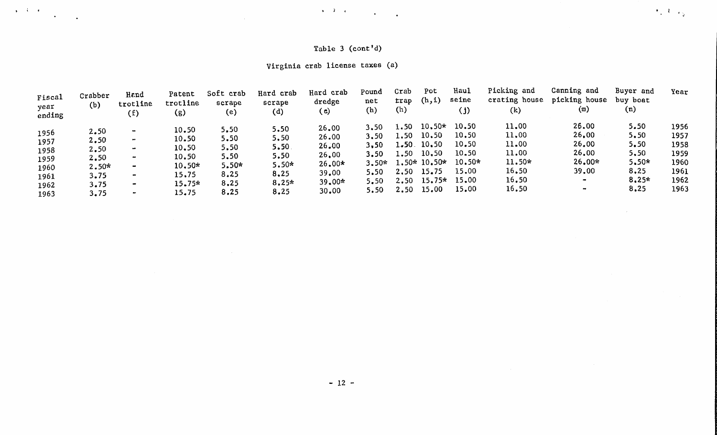## Table 3  $(cont'd)$

 $\mathcal{A}_1, \mathcal{X}_2, \mathcal{C}_3$ 

## Virginia crab license taxes (a)

. The set of the contract of the contract of the contract of the contract of the contract of the contract of the contract of the contract of the contract of the contract of the contract of the contract of the contract of

 $\sim 10$ 

| (b)<br>year<br>ending                                                                                                   | (f)                                                                                                        | (g)                                                                        | scrape<br>(e)                                                   | scrape<br>(d)                                                      | dredge<br>(c)                                                              | net<br>(h)                                                      | trap<br>(h)                                              | (h, 1)                                                                             | seine<br>$\left( \left. \right) \right)$                                | crating house<br>(k)                                                  | picking house<br>(m)                                                                        | buy boat<br>(n)                                                    |                                                              |
|-------------------------------------------------------------------------------------------------------------------------|------------------------------------------------------------------------------------------------------------|----------------------------------------------------------------------------|-----------------------------------------------------------------|--------------------------------------------------------------------|----------------------------------------------------------------------------|-----------------------------------------------------------------|----------------------------------------------------------|------------------------------------------------------------------------------------|-------------------------------------------------------------------------|-----------------------------------------------------------------------|---------------------------------------------------------------------------------------------|--------------------------------------------------------------------|--------------------------------------------------------------|
| 2.50<br>1956<br>2,50<br>1957<br>2,50<br>1958<br>2,50<br>1959<br>$2.50*$<br>1960<br>3.75<br>1961<br>3.75<br>1962<br>3,75 | $\sim$<br>$\mathbf{m}$<br>$\overline{\phantom{a}}$<br>$\sim$<br>$\bullet\bullet$<br>$\bullet$<br>$\bullet$ | 10.50<br>10.50<br>10.50<br>10.50<br>$10.50*$<br>15,75<br>$15.75*$<br>15.75 | 5.50<br>5.50<br>5.50<br>5.50<br>$5.50*$<br>8.25<br>8.25<br>8.25 | 5.50<br>5,50<br>5.50<br>5.50<br>$5.50*$<br>8,25<br>$8.25*$<br>8,25 | 26.00<br>26.00<br>26.00<br>26,00<br>$26.00*$<br>39,00<br>$39.00*$<br>30,00 | 3,50<br>3.50<br>3,50<br>3.50<br>$3.50*$<br>5.50<br>5.50<br>5.50 | 1.50<br>1,50<br>$1.50$ .<br>1.50<br>2,50<br>2,50<br>2.50 | $10,50*$<br>10.50<br>10,50<br>10,50<br>$1.50*10.50*$<br>15.75<br>$15.75*$<br>15,00 | 10.50<br>10.50<br>10,50<br>10.50<br>$10.50*$<br>15.00<br>15.00<br>15.00 | 11.00<br>11,00<br>11.00<br>11.00<br>11.50*<br>16,50<br>16.50<br>16.50 | 26.00<br>26,00<br>26.00<br>26,00<br>$26.00*$<br>39,00<br>$\blacksquare$<br>$\bullet\bullet$ | 5.50<br>5.50<br>5.50<br>5,50<br>$5.50*$<br>8,25<br>$8.25*$<br>8.25 | 1956<br>1957<br>1958<br>1959<br>1960<br>1961<br>1962<br>1963 |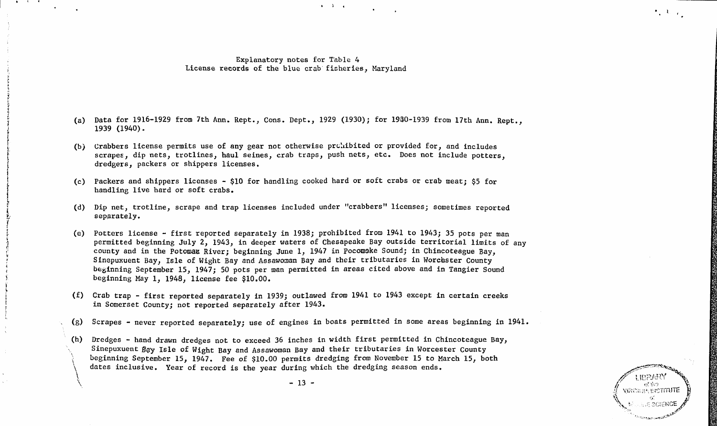#### Explanatory notes for Table 4 License records of the blue crab fisheries, Maryland

 $\mathbf{v} = \mathbf{Y} - \mathbf{q}$  .

**Contract Contract Contract** 

- (a) Data for 1916-1929 from 7th Ann. Rept., Cons. Dept., 1929 (1930); for 1930-1939 from 17th Ann. Rept., 1939 (1940).
- (b) Crabbers license permits use of any gear not otherwise prohibited or provided for, and includes scrapes, dip nets, trotlines, haul seines, crab traps, push nets, etc. Does not include potters, dredgers, packers or shippers licenses.
- (c) Packers and shippers licenses \$10 for handling cooked hard or soft crabs or crab meat; \$5 for handling live hard or soft crabs.
- (d) Dip net, trotline, scrape and trap licenses included under "crabbers" licenses; sometimes reported separately.
- (e) Potters license first reported separately in 1938; prohibited from 1941 to 1943; 35 pots per man permitted beginning July 2, 1943, in deeper waters of Chesapeake Bay outside territorial limits of any county and in the Potomaz River; beginning June 1, 1947 in Pocomske Sound; in Chincoteague Bay, Sinepuxuent Bay, Isle of Wight Bay and Assawoman Bay and their tributaries in Worcester County beginning September 15, 1947; 50 pots per man permitted in areas cited above and in Tangier Sound beginning May 1, 1948, license fee \$10.00.
- (f) Crab trap first reported separately in 1939; outlawed from 1941 to 1943 except in certain creeks in Somerset County; not reported separately after 1943.
- (g) Scrapes never reported separately; use of engines in boats permitted in some areas beginning in 1941.
- (h)  $\setminus$ Dredges - hand drawn dredges not to exceed 36 inches in width first permitted in Chincoteague Bay, Sinepuxuent Bay Isle of Wight Bay and Assawoman Bay and their tributaries in Worcester County beginning September 15, 1947. Fee of \$10.00 permits dredging from November 15 to March 15, both dates inclusive. Year of record is the year during which the dredging season ends.

 $\bigwedge$ 



 $\mathcal{F}_1 \in \mathcal{K}^{\mathbb{N}}_{\mathbb{R}^n \times \mathbb{R}^n}$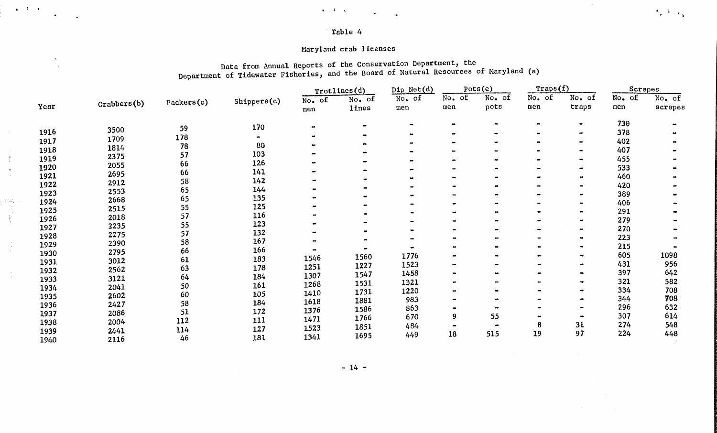#### Table 4

 $\bullet$  . For a set of the set of the set of the set of the set of the set of the set of the set of the set of the set of the set of the set of the set of the set of the set of the set of the set of the set of the set of the

### Maryland crab licenses

 $\frac{1}{\sqrt{2}}$ 

 $\mathbf{r}$  $\mathbf{r}$  $\blacksquare$ 

 $\frac{1}{2}$ 

 $\frac{1}{2}$ 

### Data from Annual Reports of the Conservation Department, the Department of Tidewater Fisheries, and the Board of Natural Resources of Maryland (a)

 $\mathbf{e}_i$  and  $\mathbf{e}_k$ 

|      |             |            |                |          | Trotlines(d) | Dip Net(d)      |        | Pots(e) | Traps(f) |                | Scrapes |         |
|------|-------------|------------|----------------|----------|--------------|-----------------|--------|---------|----------|----------------|---------|---------|
|      |             | Packers(c) | Shippers(c)    | $No.$ of | No. of       | No. of          | No. of | No. of  | No. of   | No. of         | No. of  | No. of  |
| Year | CrabberB(b) |            |                | men      | <b>lines</b> | men             | men    | pots    | men      | traps          | men     | scrapes |
|      |             | 59         | 170            |          |              | $\qquad \qquad$ |        |         |          | $\blacksquare$ | 730     |         |
| 1916 | 3500        | 178        | $\blacksquare$ |          |              |                 |        |         |          | œ              | 378     |         |
| 1917 | 1709        | 78         | 80             |          |              |                 |        |         |          |                | 402     |         |
| 1918 | 1814        |            | 103            |          |              |                 |        |         |          | $\blacksquare$ | 407     |         |
| 1919 | 2375        | 57         | 126            |          |              |                 |        |         |          | $\blacksquare$ | 455     |         |
| 1920 | 2055        | 66         | 141            |          |              |                 |        |         |          | $\bullet$      | 533     |         |
| 1921 | 2695        | 66         |                |          |              | -               |        |         |          | $\blacksquare$ | 460     |         |
| 1922 | 2912        | 58         | 142            |          |              |                 |        |         |          | $\bullet$      | 420     |         |
| 1923 | 2553        | 65         | 144            |          |              |                 |        |         |          | $\blacksquare$ | 389     |         |
| 1924 | 2668        | 65         | 135            |          |              |                 |        |         |          |                | 406     |         |
| 1925 | 2515        | 55         | 125            |          |              |                 |        |         |          |                | 291     |         |
| 1926 | 2018        | 57         | 116            |          |              |                 |        |         |          | $\rightarrow$  | 279     |         |
| 1927 | 2235        | 55         | 123            |          |              |                 |        |         |          | $\bullet$      | 270     |         |
| 1928 | 2275        | 57         | 132            |          |              |                 |        |         |          | $\blacksquare$ | 223     |         |
| 1929 | 2390        | 58         | 167            |          |              |                 |        |         |          | $\bullet$      | 215     |         |
| 1930 | 2795        | 66         | 166            |          |              | 1776            |        |         |          | $\blacksquare$ | 605     | 1098    |
| 1931 | 3012        | 61         | 183            | 1546     | 1560         | 1523            |        |         |          |                | 431     | 956     |
| 1932 | 2562        | 63         | 178            | 1251     | 1227         | 1458            |        |         |          |                | 397     | 642     |
| 1933 | 3121        | 64         | 184            | 1307     | 1547         | 1321            |        |         |          |                | 321     | 582     |
| 1934 | 2041        | 50         | 161            | 1268     | 1531         |                 |        |         |          |                | 334     | 708     |
| 1935 | 2602        | 60         | 105            | 1410     | 1731         | 1220<br>983     |        |         |          |                | 344     | 708     |
| 1936 | 2427        | 58         | 184            | 1618     | 1881         | 863             |        |         |          |                | 296     | 632     |
| 1937 | 2086        | 51         | 172            | 1376     | 1586         |                 |        | 55      |          |                | 307     | 614     |
| 1938 | 2004        | 112        | 111            | 1471     | 1766         | 670             | 9      |         | 8        | 31             | 274     | 548     |
| 1939 | 2441        | 114        | 127            | 1523     | 1851         | 484             |        |         | 19       | 97             | 224     | 448     |
| 1940 | 2116        | 46         | 181            | 1341     | 1695         | 449             | 18     | 515     |          |                |         |         |